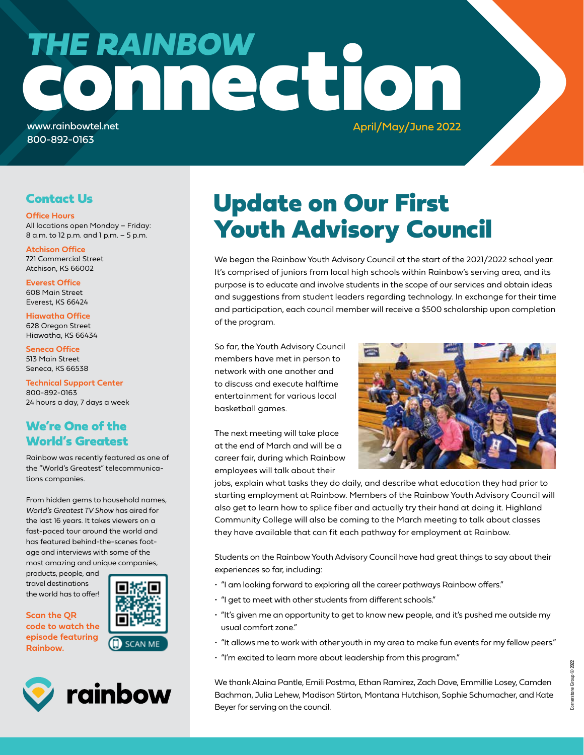# connection www.rainbowtel.net *THE RAINBOW*

800-892-0163

April/May/June 2022

#### Contact Us

**Office Hours**

All locations open Monday – Friday: 8 a.m. to 12 p.m. and 1 p.m. – 5 p.m.

**Atchison Office** 721 Commercial Street Atchison, KS 66002

**Everest Office** 608 Main Street Everest, KS 66424

**Hiawatha Office** 628 Oregon Street Hiawatha, KS 66434

**Seneca Office** 513 Main Street Seneca, KS 66538

**Technical Support Center** 800-892-0163 24 hours a day, 7 days a week

#### We're One of the World's Greatest

Rainbow was recently featured as one of the "World's Greatest" telecommunications companies.

From hidden gems to household names, *World's Greatest TV Show* has aired for the last 16 years. It takes viewers on a fast-paced tour around the world and has featured behind-the-scenes footage and interviews with some of the most amazing and unique companies,

products, people, and travel destinations the world has to offer!

**Scan the QR code to watch the episode featuring Rainbow.** 





### Update on Our First Youth Advisory Council

We began the Rainbow Youth Advisory Council at the start of the 2021/2022 school year. It's comprised of juniors from local high schools within Rainbow's serving area, and its purpose is to educate and involve students in the scope of our services and obtain ideas and suggestions from student leaders regarding technology. In exchange for their time and participation, each council member will receive a \$500 scholarship upon completion of the program.

So far, the Youth Advisory Council members have met in person to network with one another and to discuss and execute halftime entertainment for various local basketball games.

The next meeting will take place at the end of March and will be a career fair, during which Rainbow employees will talk about their



jobs, explain what tasks they do daily, and describe what education they had prior to starting employment at Rainbow. Members of the Rainbow Youth Advisory Council will also get to learn how to splice fiber and actually try their hand at doing it. Highland Community College will also be coming to the March meeting to talk about classes they have available that can fit each pathway for employment at Rainbow.

Students on the Rainbow Youth Advisory Council have had great things to say about their experiences so far, including:

- "I am looking forward to exploring all the career pathways Rainbow offers."
- "I get to meet with other students from different schools."
- "It's given me an opportunity to get to know new people, and it's pushed me outside my usual comfort zone."
- "It allows me to work with other youth in my area to make fun events for my fellow peers."
- "I'm excited to learn more about leadership from this program."

We thank Alaina Pantle, Emili Postma, Ethan Ramirez, Zach Dove, Emmillie Losey, Camden Bachman, Julia Lehew, Madison Stirton, Montana Hutchison, Sophie Schumacher, and Kate Beyer for serving on the council.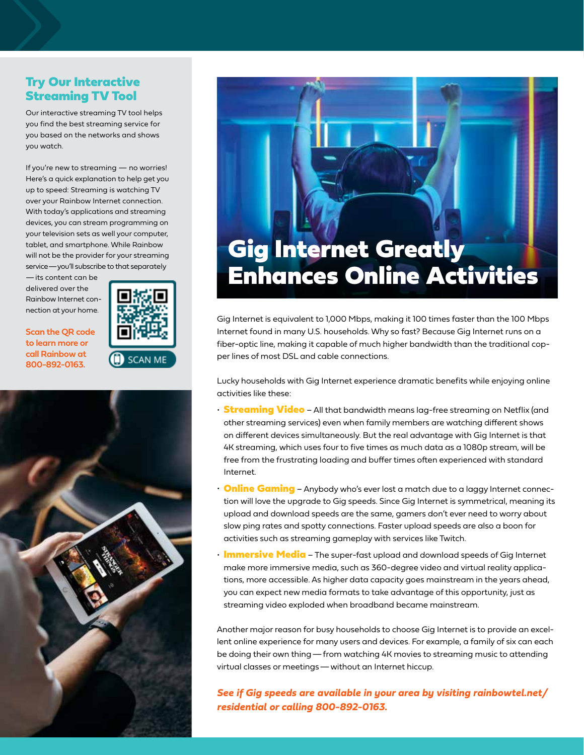#### Try Our Interactive Streaming TV Tool

Our interactive streaming TV tool helps you find the best streaming service for you based on the networks and shows you watch.

If you're new to streaming — no worries! Here's a quick explanation to help get you up to speed: Streaming is watching TV over your Rainbow Internet connection. With today's applications and streaming devices, you can stream programming on your television sets as well your computer, tablet, and smartphone. While Rainbow will not be the provider for your streaming service—you'll subscribe to that separately

—its content can be delivered over the Rainbow Internet connection at your home.

**Scan the QR code to learn more or call Rainbow at 800-892-0163.**







Gig Internet is equivalent to 1,000 Mbps, making it 100 times faster than the 100 Mbps Internet found in many U.S. households. Why so fast? Because Gig Internet runs on a fiber-optic line, making it capable of much higher bandwidth than the traditional copper lines of most DSL and cable connections.

Lucky households with Gig Internet experience dramatic benefits while enjoying online activities like these:

- **Streaming Video** All that bandwidth means lag-free streaming on Netflix (and other streaming services) even when family members are watching different shows on different devices simultaneously. But the real advantage with Gig Internet is that 4K streaming, which uses four to five times as much data as a 1080p stream, will be free from the frustrating loading and buffer times often experienced with standard Internet.
- **Online Gaming** Anybody who's ever lost a match due to a laggy Internet connection will love the upgrade to Gig speeds. Since Gig Internet is symmetrical, meaning its upload and download speeds are the same, gamers don't ever need to worry about slow ping rates and spotty connections. Faster upload speeds are also a boon for activities such as streaming gameplay with services like Twitch.
- Immersive Media The super-fast upload and download speeds of Gig Internet make more immersive media, such as 360-degree video and virtual reality applications, more accessible. As higher data capacity goes mainstream in the years ahead, you can expect new media formats to take advantage of this opportunity, just as streaming video exploded when broadband became mainstream.

Another major reason for busy households to choose Gig Internet is to provide an excellent online experience for many users and devices. For example, a family of six can each be doing their own thing—from watching 4K movies to streaming music to attending virtual classes or meetings—without an Internet hiccup.

*See if Gig speeds are available in your area by visiting rainbowtel.net/ residential or calling 800-892-0163.*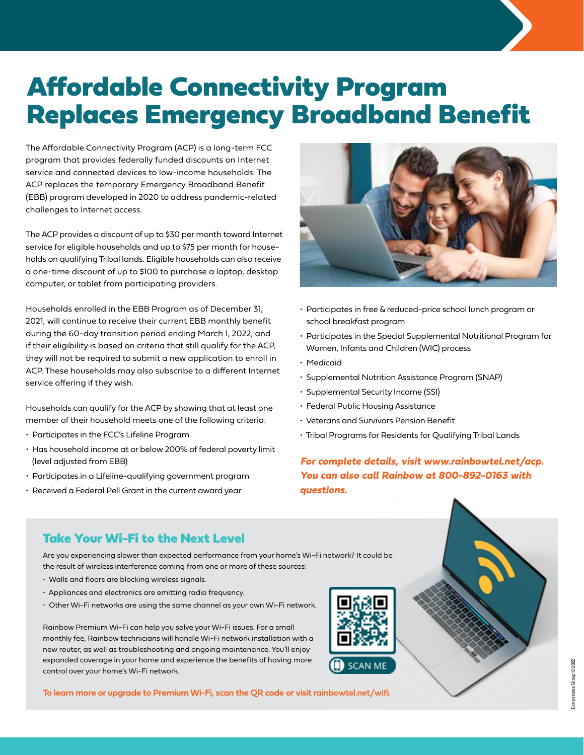## Affordable Connectivity Program Replaces Emergency Broadband Benefit

The Affordable Connectivity Program (ACP) is a long-term FCC program that provides federally funded discounts on Internet service and connected devices to low-income households. The ACP replaces the temporary Emergency Broadband Benefit (EBB) program developed in 2020 to address pandemic-related challenges to Internet access.

The ACP provides a discount of up to \$30 per month toward Internet service for eligible households and up to \$75 per month for households on qualifying Tribal lands. Eligible households can also receive a one-time discount of up to \$100 to purchase a laptop, desktop computer, or tablet from participating providers.

Households enrolled in the EBB Program as of December 31, 2021, will continue to receive their current EBB monthly benefit during the 60-day transition period ending March 1, 2022, and if their eligibility is based on criteria that still qualify for the ACP, they will not be required to submit a new application to enroll in ACP. These households may also subscribe to a different Internet service offering if they wish.

Households can qualify for the ACP by showing that at least one member of their household meets one of the following criteria:

- Participates in the FCC's Lifeline Program
- Has household income at or below 200% of federal poverty limit (level adjusted from EBB)
- Participates in a Lifeline-qualifying government program
- Received a Federal Pell Grant in the current award year



- Participates in free & reduced-price school lunch program or school breakfast program
- Participates in the Special Supplemental Nutritional Program for Women, Infants and Children (WIC) process
- Medicaid
- Supplemental Nutrition Assistance Program (SNAP)
- Supplemental Security Income (SSI)
- Federal Public Housing Assistance
- Veterans and Survivors Pension Benefit
- Tribal Programs for Residents for Qualifying Tribal Lands

*For complete details, visit www.rainbowtel.net/acp. You can also call Rainbow at 800-892-0163 with questions.*

#### Take Your Wi-Fi to the Next Level

Are you experiencing slower than expected performance from your home's Wi-Fi network? It could be the result of wireless interference coming from one or more of these sources:

- Walls and floors are blocking wireless signals.
- Appliances and electronics are emitting radio frequency.
- Other Wi-Fi networks are using the same channel as your own Wi-Fi network.

Rainbow Premium Wi-Fi can help you solve your Wi-Fi issues. For a small monthly fee, Rainbow technicians will handle Wi-Fi network installation with a new router, as well as troubleshooting and ongoing maintenance. You'll enjoy expanded coverage in your home and experience the benefits of having more control over your home's Wi-Fi network.

**To learn more or upgrade to Premium Wi-Fi, scan the QR code or visit rainbowtel.net/wifi.**